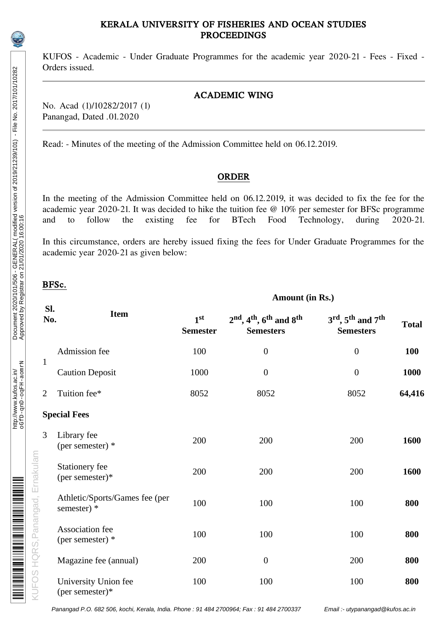## KERALA UNIVERSITY OF FISHERIES AND OCEAN STUDIES PROCEEDINGS

KUFOS - Academic - Under Graduate Programmes for the academic year 2020-21 - Fees - Fixed - Orders issued.

## ACADEMIC WING

No. Acad (1)/10282/2017 (1) Panangad, Dated .01.2020

Read: - Minutes of the meeting of the Admission Committee held on 06.12.2019.

#### ORDER

In the meeting of the Admission Committee held on 06.12.2019, it was decided to fix the fee for the academic year 2020-21. It was decided to hike the tuition fee @ 10% per semester for BFSc programme<br>and to follow the existing fee for BTech Food Technology, during 2020-21. and to follow the existing fee for BTech Food Technology, during 2020-21.

In this circumstance, orders are hereby issued fixing the fees for Under Graduate Programmes for the academic year 2020-21 as given below:

**Amount (in Rs.)**

# BFSc.

| Sl.<br>No.                     | <b>Item</b>                                   | 1 <sup>st</sup><br><b>Semester</b> | $2nd$ , 4 <sup>th</sup> , 6 <sup>th</sup> and 8 <sup>th</sup><br><b>Semesters</b> | $3^{\text{rd}}$ , $5^{\text{th}}$ and $7^{\text{th}}$<br><b>Semesters</b> | <b>Total</b> |
|--------------------------------|-----------------------------------------------|------------------------------------|-----------------------------------------------------------------------------------|---------------------------------------------------------------------------|--------------|
|                                | Admission fee                                 | 100                                | $\boldsymbol{0}$                                                                  | $\mathbf{0}$                                                              | <b>100</b>   |
| $\mathbf{1}$                   | <b>Caution Deposit</b>                        | 1000                               | $\boldsymbol{0}$                                                                  | $\boldsymbol{0}$                                                          | 1000         |
| $\overline{2}$                 | Tuition fee*                                  | 8052                               | 8052                                                                              | 8052                                                                      | 64,416       |
|                                | <b>Special Fees</b>                           |                                    |                                                                                   |                                                                           |              |
| 3                              | Library fee<br>(per semester) *               | 200                                | 200                                                                               | 200                                                                       | 1600         |
| UFOS HQRS, Panangad, Ernakulam | <b>Stationery fee</b><br>(per semester)*      | 200                                | 200                                                                               | 200                                                                       | 1600         |
|                                | Athletic/Sports/Games fee (per<br>semester) * | 100                                | 100                                                                               | 100                                                                       | 800          |
|                                | <b>Association</b> fee<br>(per semester) *    | 100                                | 100                                                                               | 100                                                                       | 800          |
|                                | Magazine fee (annual)                         | 200                                | $\boldsymbol{0}$                                                                  | 200                                                                       | 800          |
|                                | University Union fee<br>(per semester)*       | 100                                | 100                                                                               | 100                                                                       | 800          |

Panangad P.O. 682 506, kochi, Kerala, India. Phone : 91 484 2700964; Fax : 91 484 2700337 Email :- utypanangad@kufos.ac.in

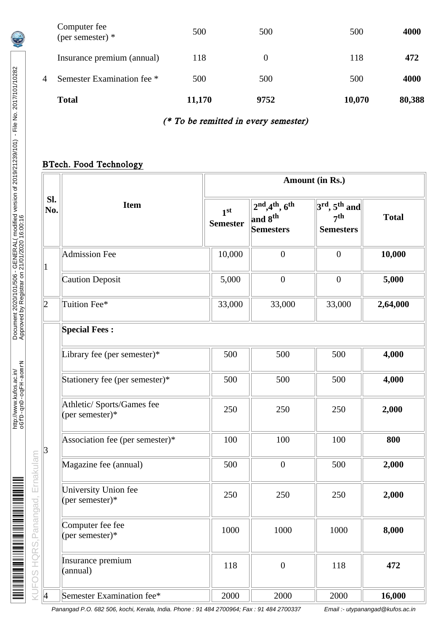|   | <b>Total</b>                     | 11,170 | 9752     | 10,070 | 80,388 |
|---|----------------------------------|--------|----------|--------|--------|
| 4 | Semester Examination fee *       | 500    | 500      | 500    | 4000   |
|   | Insurance premium (annual)       | 118    | $\theta$ | 118    | 472    |
|   | Computer fee<br>(per semester) * | 500    | 500      | 500    | 4000   |

# (\* To be remitted in every semester)

# BTech. Food Technology

|                | <b>Item</b>                                    |                                    | Amount (in Rs.)                                                   |                                                                    |              |  |  |
|----------------|------------------------------------------------|------------------------------------|-------------------------------------------------------------------|--------------------------------------------------------------------|--------------|--|--|
| Sl.<br>No.     |                                                | 1 <sup>st</sup><br><b>Semester</b> | $2^{nd},4^{th},6^{th}$<br>and 8 <sup>th</sup><br><b>Semesters</b> | $3rd$ , 5 <sup>th</sup> and<br>7 <sup>th</sup><br><b>Semesters</b> | <b>Total</b> |  |  |
| $\mathbf 1$    | <b>Admission Fee</b>                           | 10,000                             | $\boldsymbol{0}$                                                  | $\boldsymbol{0}$                                                   | 10,000       |  |  |
|                | <b>Caution Deposit</b>                         | 5,000                              | $\boldsymbol{0}$                                                  | $\boldsymbol{0}$                                                   | 5,000        |  |  |
| 2              | Tuition Fee*                                   | 33,000                             | 33,000                                                            | 33,000                                                             | 2,64,000     |  |  |
|                | <b>Special Fees:</b>                           |                                    |                                                                   |                                                                    |              |  |  |
|                | Library fee (per semester)*                    | 500                                | 500                                                               | 500                                                                | 4,000        |  |  |
|                | Stationery fee (per semester)*                 | 500                                | 500                                                               | 500                                                                | 4,000        |  |  |
|                | Athletic/ Sports/Games fee<br>(per semester)*  | 250                                | 250                                                               | 250                                                                | 2,000        |  |  |
| $\overline{3}$ | Association fee (per semester)*                | 100                                | 100                                                               | 100                                                                | 800          |  |  |
|                | Magazine fee (annual)                          | 500                                | $\boldsymbol{0}$                                                  | 500                                                                | 2,000        |  |  |
|                | <b>University Union fee</b><br>(per semester)* | 250                                | 250                                                               | 250                                                                | 2,000        |  |  |
|                | Computer fee fee<br>(per semester)*            | 1000                               | 1000                                                              | 1000                                                               | 8,000        |  |  |
|                | Insurance premium<br>(annual)                  | 118                                | $\boldsymbol{0}$                                                  | 118                                                                | 472          |  |  |
| $\vert 4$      | Semester Examination fee*                      | 2000                               | 2000                                                              | 2000                                                               | 16,000       |  |  |

Panangad P.O. 682 506, kochi, Kerala, India. Phone : 91 484 2700964; Fax : 91 484 2700337 Email :- utypanangad@kufos.ac.in